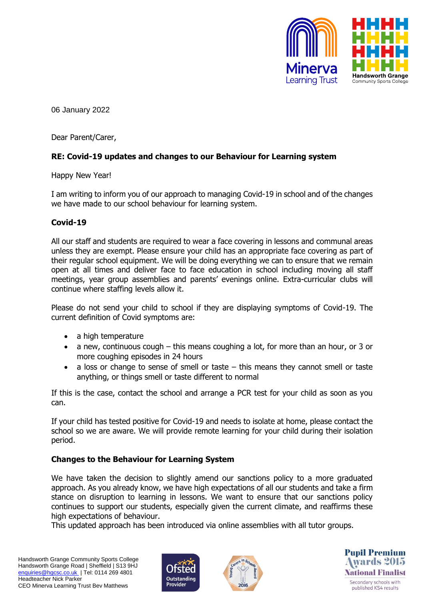

06 January 2022

Dear Parent/Carer,

## **RE: Covid-19 updates and changes to our Behaviour for Learning system**

Happy New Year!

I am writing to inform you of our approach to managing Covid-19 in school and of the changes we have made to our school behaviour for learning system.

### **Covid-19**

All our staff and students are required to wear a face covering in lessons and communal areas unless they are exempt. Please ensure your child has an appropriate face covering as part of their regular school equipment. We will be doing everything we can to ensure that we remain open at all times and deliver face to face education in school including moving all staff meetings, year group assemblies and parents' evenings online. Extra-curricular clubs will continue where staffing levels allow it.

Please do not send your child to school if they are displaying symptoms of Covid-19. The current definition of Covid symptoms are:

- a high temperature
- a new, continuous cough this means coughing a lot, for more than an hour, or 3 or more coughing episodes in 24 hours
- a loss or change to sense of smell or taste this means they cannot smell or taste anything, or things smell or taste different to normal

If this is the case, contact the school and arrange a PCR test for your child as soon as you can.

If your child has tested positive for Covid-19 and needs to isolate at home, please contact the school so we are aware. We will provide remote learning for your child during their isolation period.

### **Changes to the Behaviour for Learning System**

We have taken the decision to slightly amend our sanctions policy to a more graduated approach. As you already know, we have high expectations of all our students and take a firm stance on disruption to learning in lessons. We want to ensure that our sanctions policy continues to support our students, especially given the current climate, and reaffirms these high expectations of behaviour.

This updated approach has been introduced via online assemblies with all tutor groups.





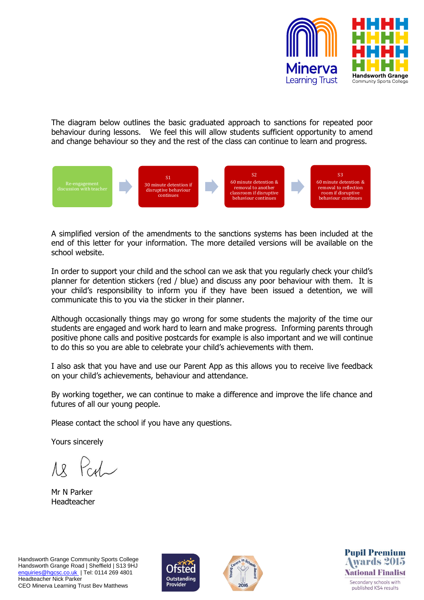

The diagram below outlines the basic graduated approach to sanctions for repeated poor behaviour during lessons. We feel this will allow students sufficient opportunity to amend and change behaviour so they and the rest of the class can continue to learn and progress.



A simplified version of the amendments to the sanctions systems has been included at the end of this letter for your information. The more detailed versions will be available on the school website.

In order to support your child and the school can we ask that you regularly check your child's planner for detention stickers (red / blue) and discuss any poor behaviour with them. It is your child's responsibility to inform you if they have been issued a detention, we will communicate this to you via the sticker in their planner.

Although occasionally things may go wrong for some students the majority of the time our students are engaged and work hard to learn and make progress. Informing parents through positive phone calls and positive postcards for example is also important and we will continue to do this so you are able to celebrate your child's achievements with them.

I also ask that you have and use our Parent App as this allows you to receive live feedback on your child's achievements, behaviour and attendance.

By working together, we can continue to make a difference and improve the life chance and futures of all our young people.

Please contact the school if you have any questions.

Yours sincerely

Mr N Parker Headteacher





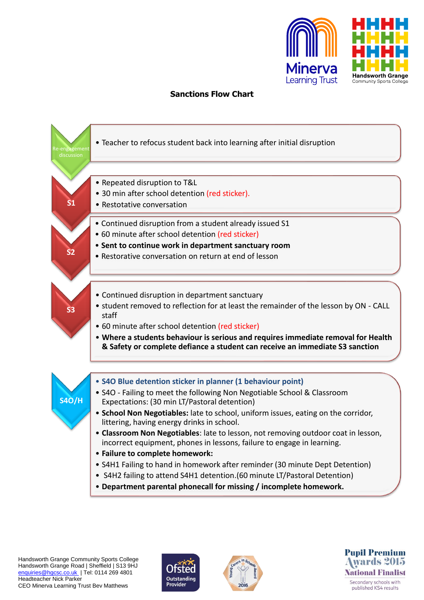

# **Sanctions Flow Chart**